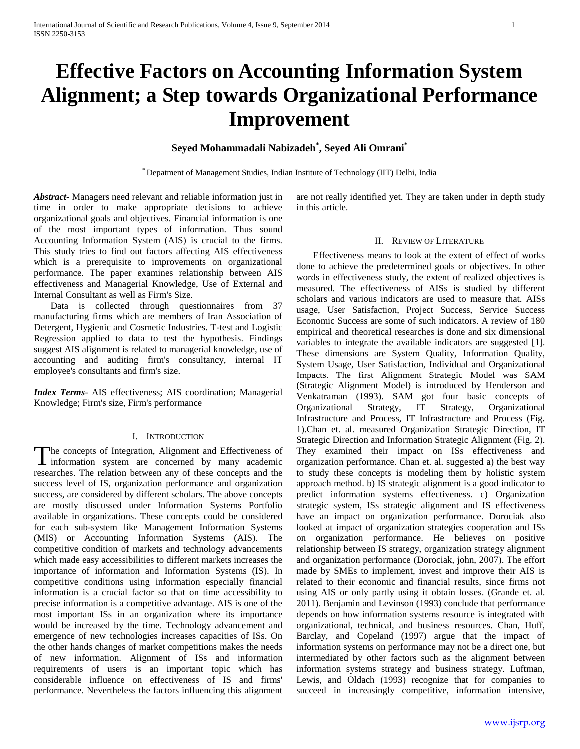# **Effective Factors on Accounting Information System Alignment; a Step towards Organizational Performance Improvement**

# **Seyed Mohammadali Nabizadeh\* , Seyed Ali Omrani\***

\* Depatment of Management Studies, Indian Institute of Technology (IIT) Delhi, India

*Abstract***-** Managers need relevant and reliable information just in time in order to make appropriate decisions to achieve organizational goals and objectives. Financial information is one of the most important types of information. Thus sound Accounting Information System (AIS) is crucial to the firms. This study tries to find out factors affecting AIS effectiveness which is a prerequisite to improvements on organizational performance. The paper examines relationship between AIS effectiveness and Managerial Knowledge, Use of External and Internal Consultant as well as Firm's Size.

 Data is collected through questionnaires from 37 manufacturing firms which are members of Iran Association of Detergent, Hygienic and Cosmetic Industries. T-test and Logistic Regression applied to data to test the hypothesis. Findings suggest AIS alignment is related to managerial knowledge, use of accounting and auditing firm's consultancy, internal IT employee's consultants and firm's size.

*Index Terms*- AIS effectiveness; AIS coordination; Managerial Knowledge; Firm's size, Firm's performance

#### I. INTRODUCTION

he concepts of Integration, Alignment and Effectiveness of The concepts of Integration, Alignment and Effectiveness of information system are concerned by many academic researches. The relation between any of these concepts and the success level of IS, organization performance and organization success, are considered by different scholars. The above concepts are mostly discussed under Information Systems Portfolio available in organizations. These concepts could be considered for each sub-system like Management Information Systems (MIS) or Accounting Information Systems (AIS). The competitive condition of markets and technology advancements which made easy accessibilities to different markets increases the importance of information and Information Systems (IS). In competitive conditions using information especially financial information is a crucial factor so that on time accessibility to precise information is a competitive advantage. AIS is one of the most important ISs in an organization where its importance would be increased by the time. Technology advancement and emergence of new technologies increases capacities of ISs. On the other hands changes of market competitions makes the needs of new information. Alignment of ISs and information requirements of users is an important topic which has considerable influence on effectiveness of IS and firms' performance. Nevertheless the factors influencing this alignment

are not really identified yet. They are taken under in depth study in this article.

#### II. REVIEW OF LITERATURE

 Effectiveness means to look at the extent of effect of works done to achieve the predetermined goals or objectives. In other words in effectiveness study, the extent of realized objectives is measured. The effectiveness of AISs is studied by different scholars and various indicators are used to measure that. AISs usage, User Satisfaction, Project Success, Service Success Economic Success are some of such indicators. A review of 180 empirical and theoretical researches is done and six dimensional variables to integrate the available indicators are suggested [1]. These dimensions are System Quality, Information Quality, System Usage, User Satisfaction, Individual and Organizational Impacts. The first Alignment Strategic Model was SAM (Strategic Alignment Model) is introduced by Henderson and Venkatraman (1993). SAM got four basic concepts of Organizational Strategy, IT Strategy, Organizational Infrastructure and Process, IT Infrastructure and Process (Fig. 1).Chan et. al. measured Organization Strategic Direction, IT Strategic Direction and Information Strategic Alignment (Fig. 2). They examined their impact on ISs effectiveness and organization performance. Chan et. al. suggested a) the best way to study these concepts is modeling them by holistic system approach method. b) IS strategic alignment is a good indicator to predict information systems effectiveness. c) Organization strategic system, ISs strategic alignment and IS effectiveness have an impact on organization performance. Dorociak also looked at impact of organization strategies cooperation and ISs on organization performance. He believes on positive relationship between IS strategy, organization strategy alignment and organization performance (Dorociak, john, 2007). The effort made by SMEs to implement, invest and improve their AIS is related to their economic and financial results, since firms not using AIS or only partly using it obtain losses. (Grande et. al. 2011). Benjamin and Levinson (1993) conclude that performance depends on how information systems resource is integrated with organizational, technical, and business resources. Chan, Huff, Barclay, and Copeland (1997) argue that the impact of information systems on performance may not be a direct one, but intermediated by other factors such as the alignment between information systems strategy and business strategy. Luftman, Lewis, and Oldach (1993) recognize that for companies to succeed in increasingly competitive, information intensive,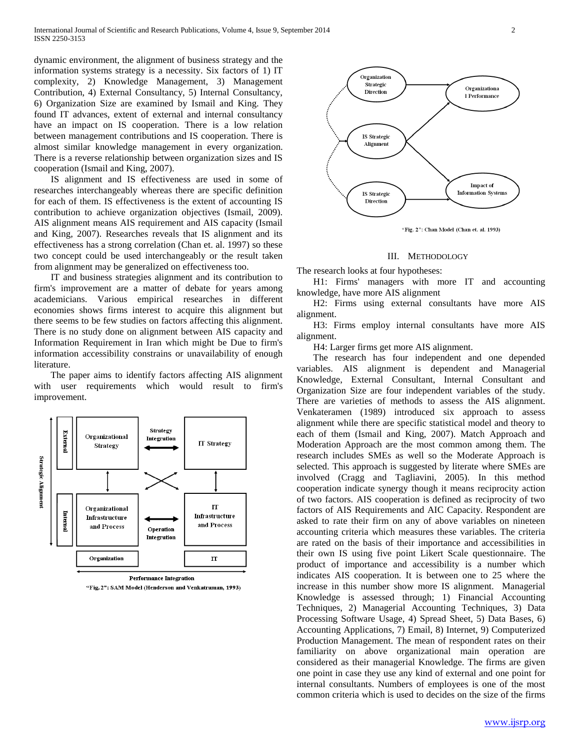dynamic environment, the alignment of business strategy and the information systems strategy is a necessity. Six factors of 1) IT complexity, 2) Knowledge Management, 3) Management Contribution, 4) External Consultancy, 5) Internal Consultancy, 6) Organization Size are examined by Ismail and King. They found IT advances, extent of external and internal consultancy have an impact on IS cooperation. There is a low relation between management contributions and IS cooperation. There is almost similar knowledge management in every organization. There is a reverse relationship between organization sizes and IS cooperation (Ismail and King, 2007).

 IS alignment and IS effectiveness are used in some of researches interchangeably whereas there are specific definition for each of them. IS effectiveness is the extent of accounting IS contribution to achieve organization objectives (Ismail, 2009). AIS alignment means AIS requirement and AIS capacity (Ismail and King, 2007). Researches reveals that IS alignment and its effectiveness has a strong correlation (Chan et. al. 1997) so these two concept could be used interchangeably or the result taken from alignment may be generalized on effectiveness too.

 IT and business strategies alignment and its contribution to firm's improvement are a matter of debate for years among academicians. Various empirical researches in different economies shows firms interest to acquire this alignment but there seems to be few studies on factors affecting this alignment. There is no study done on alignment between AIS capacity and Information Requirement in Iran which might be Due to firm's information accessibility constrains or unavailability of enough literature.

 The paper aims to identify factors affecting AIS alignment with user requirements which would result to firm's improvement.



"Fig. 2": SAM Model (Henderson and Venkatraman, 1993)



#### III. METHODOLOGY

The research looks at four hypotheses:

 H1: Firms' managers with more IT and accounting knowledge, have more AIS alignment

 H2: Firms using external consultants have more AIS alignment.

 H3: Firms employ internal consultants have more AIS alignment.

H4: Larger firms get more AIS alignment.

 The research has four independent and one depended variables. AIS alignment is dependent and Managerial Knowledge, External Consultant, Internal Consultant and Organization Size are four independent variables of the study. There are varieties of methods to assess the AIS alignment. Venkateramen (1989) introduced six approach to assess alignment while there are specific statistical model and theory to each of them (Ismail and King, 2007). Match Approach and Moderation Approach are the most common among them. The research includes SMEs as well so the Moderate Approach is selected. This approach is suggested by literate where SMEs are involved (Cragg and Tagliavini, 2005). In this method cooperation indicate synergy though it means reciprocity action of two factors. AIS cooperation is defined as reciprocity of two factors of AIS Requirements and AIC Capacity. Respondent are asked to rate their firm on any of above variables on nineteen accounting criteria which measures these variables. The criteria are rated on the basis of their importance and accessibilities in their own IS using five point Likert Scale questionnaire. The product of importance and accessibility is a number which indicates AIS cooperation. It is between one to 25 where the increase in this number show more IS alignment. Managerial Knowledge is assessed through; 1) Financial Accounting Techniques, 2) Managerial Accounting Techniques, 3) Data Processing Software Usage, 4) Spread Sheet, 5) Data Bases, 6) Accounting Applications, 7) Email, 8) Internet, 9) Computerized Production Management. The mean of respondent rates on their familiarity on above organizational main operation are considered as their managerial Knowledge. The firms are given one point in case they use any kind of external and one point for internal consultants. Numbers of employees is one of the most common criteria which is used to decides on the size of the firms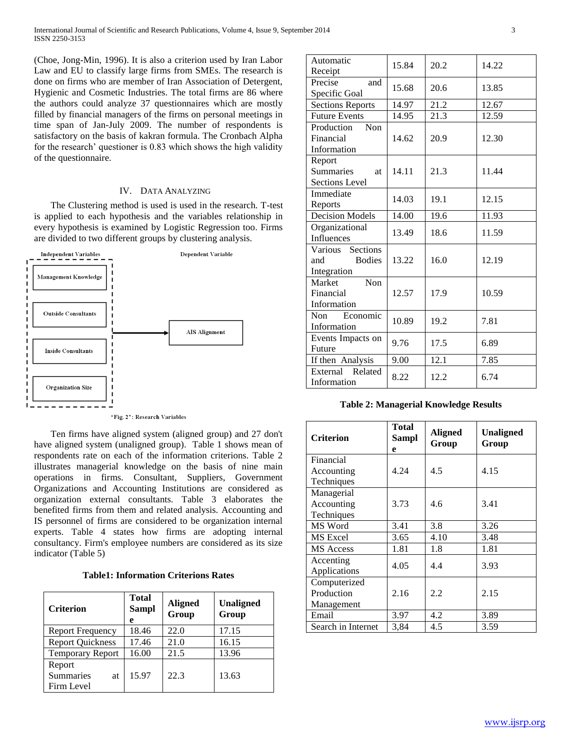(Choe, Jong-Min, 1996). It is also a criterion used by Iran Labor Law and EU to classify large firms from SMEs. The research is done on firms who are member of Iran Association of Detergent, Hygienic and Cosmetic Industries. The total firms are 86 where the authors could analyze 37 questionnaires which are mostly filled by financial managers of the firms on personal meetings in time span of Jan-July 2009. The number of respondents is satisfactory on the basis of kakran formula. The Cronbach Alpha for the research' questioner is 0.83 which shows the high validity of the questionnaire.

# IV. DATA ANALYZING

 The Clustering method is used is used in the research. T-test is applied to each hypothesis and the variables relationship in every hypothesis is examined by Logistic Regression too. Firms are divided to two different groups by clustering analysis.



"Fig. 2": Research Variables

 Ten firms have aligned system (aligned group) and 27 don't have aligned system (unaligned group). Table 1 shows mean of respondents rate on each of the information criterions. Table 2 illustrates managerial knowledge on the basis of nine main operations in firms. Consultant, Suppliers, Government Organizations and Accounting Institutions are considered as organization external consultants. Table 3 elaborates the benefited firms from them and related analysis. Accounting and IS personnel of firms are considered to be organization internal experts. Table 4 states how firms are adopting internal consultancy. Firm's employee numbers are considered as its size indicator (Table 5)

**Table1: Information Criterions Rates**

| <b>Criterion</b>                               | <b>Total</b><br><b>Sampl</b><br>e | <b>Aligned</b><br>Group | <b>Unaligned</b><br>Group |
|------------------------------------------------|-----------------------------------|-------------------------|---------------------------|
| <b>Report Frequency</b>                        | 18.46                             | 22.0                    | 17.15                     |
| <b>Report Quickness</b>                        | 17.46                             | 21.0                    | 16.15                     |
| <b>Temporary Report</b>                        | 16.00                             | 21.5                    | 13.96                     |
| Report<br><b>Summaries</b><br>at<br>Firm Level | 15.97                             | 22.3                    | 13.63                     |

| Automatic<br>Receipt            | 15.84 | 20.2 | 14.22 |  |
|---------------------------------|-------|------|-------|--|
| Precise<br>and                  |       |      |       |  |
| Specific Goal                   | 15.68 | 20.6 | 13.85 |  |
| <b>Sections Reports</b>         | 14.97 | 21.2 | 12.67 |  |
| <b>Future Events</b>            | 14.95 | 21.3 | 12.59 |  |
| Non<br>Production               |       |      |       |  |
| Financial                       | 14.62 | 20.9 | 12.30 |  |
| Information                     |       |      |       |  |
|                                 |       |      |       |  |
| Report                          |       |      |       |  |
| <b>Summaries</b><br><b>at</b>   | 14.11 | 21.3 | 11.44 |  |
| <b>Sections Level</b>           |       |      |       |  |
| Immediate                       | 14.03 | 19.1 | 12.15 |  |
| Reports                         |       |      |       |  |
| <b>Decision Models</b>          | 14.00 | 19.6 | 11.93 |  |
| Organizational                  | 13.49 | 18.6 | 11.59 |  |
| Influences                      |       |      |       |  |
| Various Sections                |       |      |       |  |
| <b>Bodies</b><br>and            | 13.22 | 16.0 | 12.19 |  |
| Integration                     |       |      |       |  |
| Non<br>Market                   |       |      |       |  |
| Financial                       | 12.57 | 17.9 | 10.59 |  |
| Information                     |       |      |       |  |
| Economic<br><b>Non</b>          | 10.89 | 19.2 | 7.81  |  |
| Information                     |       |      |       |  |
| Events Impacts on               | 9.76  | 17.5 | 6.89  |  |
| Future                          |       |      |       |  |
| If then Analysis                | 9.00  | 12.1 | 7.85  |  |
| External Related<br>Information | 8.22  | 12.2 | 6.74  |  |

**Table 2: Managerial Knowledge Results**

| <b>Criterion</b>                         | Total<br><b>Sampl</b><br>e | <b>Aligned</b><br>Group | Unaligned<br>Group |  |
|------------------------------------------|----------------------------|-------------------------|--------------------|--|
| Financial<br>Accounting<br>Techniques    | 4.24                       | 4.5                     | 4.15               |  |
| Managerial<br>Accounting<br>Techniques   | 3.73                       | 4.6                     | 3.41               |  |
| MS Word                                  | 3.41                       | 3.8                     | 3.26               |  |
| MS Excel                                 | 3.65                       | 4.10                    | 3.48               |  |
| <b>MS</b> Access                         | 1.81                       | 1.8                     | 1.81               |  |
| Accenting<br>Applications                | 4.05                       | 4.4                     | 3.93               |  |
| Computerized<br>Production<br>Management | 2.16                       | 2.2                     | 2.15               |  |
| Email                                    | 3.97                       | 4.2                     | 3.89               |  |
| Search in Internet                       | 3,84                       | 4.5                     | 3.59               |  |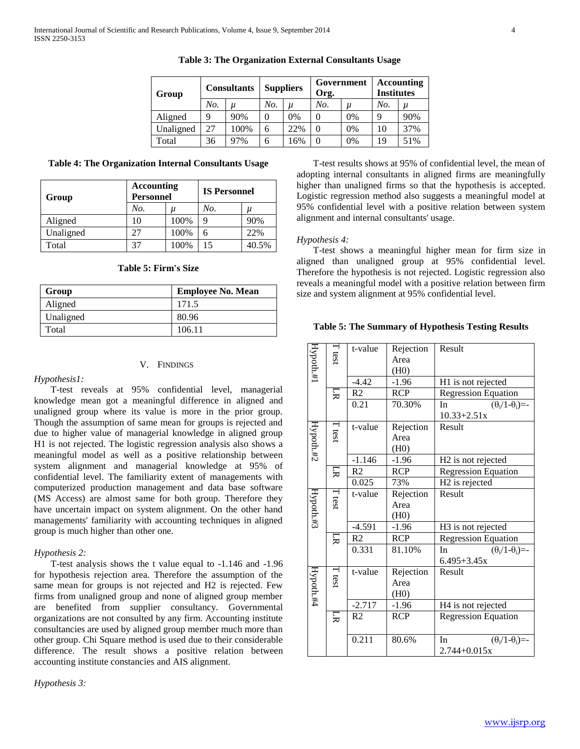| Group     | <b>Consultants</b> |       | <b>Suppliers</b> |         | Government<br>Org. |       | Accounting<br><b>Institutes</b> |       |
|-----------|--------------------|-------|------------------|---------|--------------------|-------|---------------------------------|-------|
|           | No.                | $\mu$ | No.              | $\iota$ | No.                | $\mu$ | No.                             | $\mu$ |
| Aligned   | Q                  | 90%   | 0                | 0%      |                    | $0\%$ | Q                               | 90%   |
| Unaligned | 27                 | 100%  | 6                | 22%     |                    | $0\%$ | 10                              | 37%   |
| Total     | 36                 | 97%   | 6                | .6%     |                    | 0%    | 19                              | 51%   |

**Table 3: The Organization External Consultants Usage**

**Table 4: The Organization Internal Consultants Usage**

| Group     | Accounting<br><b>Personnel</b> |       | <b>IS Personnel</b> |       |  |
|-----------|--------------------------------|-------|---------------------|-------|--|
|           | No.                            | $\mu$ | No.                 | и     |  |
| Aligned   | 10                             | 100%  | q                   | 90%   |  |
| Unaligned | 27                             | 100%  | 6                   | 22%   |  |
| Total     | 37                             | 100%  | 15                  | 40.5% |  |

## **Table 5: Firm's Size**

| Group     | <b>Employee No. Mean</b> |
|-----------|--------------------------|
| Aligned   | 171.5                    |
| Unaligned | 80.96                    |
| Total     | 106.11                   |

## V. FINDINGS

#### *Hypothesis1:*

 T-test reveals at 95% confidential level, managerial knowledge mean got a meaningful difference in aligned and unaligned group where its value is more in the prior group. Though the assumption of same mean for groups is rejected and due to higher value of managerial knowledge in aligned group H1 is not rejected. The logistic regression analysis also shows a meaningful model as well as a positive relationship between system alignment and managerial knowledge at 95% of confidential level. The familiarity extent of managements with computerized production management and data base software (MS Access) are almost same for both group. Therefore they have uncertain impact on system alignment. On the other hand managements' familiarity with accounting techniques in aligned group is much higher than other one.

#### *Hypothesis 2:*

 T-test analysis shows the t value equal to -1.146 and -1.96 for hypothesis rejection area. Therefore the assumption of the same mean for groups is not rejected and H2 is rejected. Few firms from unaligned group and none of aligned group member are benefited from supplier consultancy. Governmental organizations are not consulted by any firm. Accounting institute consultancies are used by aligned group member much more than other group. Chi Square method is used due to their considerable difference. The result shows a positive relation between accounting institute constancies and AIS alignment.

*Hypothesis 3:* 

 T-test results shows at 95% of confidential level, the mean of adopting internal consultants in aligned firms are meaningfully higher than unaligned firms so that the hypothesis is accepted. Logistic regression method also suggests a meaningful model at 95% confidential level with a positive relation between system alignment and internal consultants' usage.

#### *Hypothesis 4:*

 T-test shows a meaningful higher mean for firm size in aligned than unaligned group at 95% confidential level. Therefore the hypothesis is not rejected. Logistic regression also reveals a meaningful model with a positive relation between firm size and system alignment at 95% confidential level.

#### **Table 5: The Summary of Hypothesis Testing Results**

| Hypoth.#1 | $T$ test      | t-value        | Rejection  | Result                           |
|-----------|---------------|----------------|------------|----------------------------------|
|           |               |                | Area       |                                  |
|           |               |                | (H0)       |                                  |
|           |               | $-4.42$        | $-1.96$    | H1 is not rejected               |
|           | 叧             | R2             | <b>RCP</b> | <b>Regression Equation</b>       |
|           |               | 0.21           | 70.30%     | $(\theta_i/1-\theta_i)$ =-<br>In |
|           |               |                |            | $10.33 + 2.51x$                  |
|           | $\Gamma$ test | t-value        | Rejection  | Result                           |
|           |               |                | Area       |                                  |
| Hypoth.#2 |               |                | (H0)       |                                  |
|           |               | $-1.146$       | $-1.96$    | H <sub>2</sub> is not rejected   |
|           | 딨             | R <sub>2</sub> | <b>RCP</b> | <b>Regression Equation</b>       |
|           |               | 0.025          | 73%        | H <sub>2</sub> is rejected       |
|           | T test        | t-value        | Rejection  | Result                           |
|           |               |                | Area       |                                  |
| Hypoth.#3 |               |                | (H0)       |                                  |
|           |               | $-4.591$       | $-1.96$    | H3 is not rejected               |
|           | 叧             | R <sub>2</sub> | <b>RCP</b> | <b>Regression Equation</b>       |
|           |               | 0.331          | 81.10%     | $(\theta_i/1-\theta_i)$ =-<br>In |
|           |               |                |            | $6.495 + 3.45x$                  |
|           | $\Gamma$ test | t-value        | Rejection  | Result                           |
|           |               |                | Area       |                                  |
| Hypoth.#4 |               |                | (H0)       |                                  |
|           |               | $-2.717$       | $-1.96$    | H4 is not rejected               |
|           | 딨             | R <sub>2</sub> | <b>RCP</b> | <b>Regression Equation</b>       |
|           |               |                |            |                                  |
|           |               | 0.211          | 80.6%      | In<br>$(\theta_i/1-\theta_i)$ =- |
|           |               |                |            | $2.744 + 0.015x$                 |